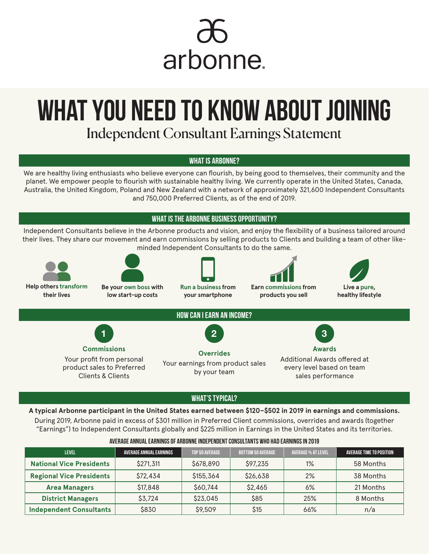

# **WHAT YOU NEED TO KNOW ABOUT JOINING**

Independent Consultant Earnings Statement

# **WHAT IS ARBONNE?**

We are healthy living enthusiasts who believe everyone can flourish, by being good to themselves, their community and the planet. We empower people to flourish with sustainable healthy living. We currently operate in the United States, Canada, Australia, the United Kingdom, Poland and New Zealand with a network of approximately 321,600 Independent Consultants and 750,000 Preferred Clients, as of the end of 2019.

**WHAT IS THE ARBONNE BUSINESS OPPORTUNITY?**

Independent Consultants believe in the Arbonne products and vision, and enjoy the flexibility of a business tailored around their lives. They share our movement and earn commissions by selling products to Clients and building a team of other likeminded Independent Consultants to do the same.





**Be your own boss with low start-up costs**



**Run a business from your smartphone**

**Earn commissions from** 

**products you sell** 



**healthy lifestyle**



### **WHAT'S TYPICAL?**

**A typical Arbonne participant in the United States earned between \$120–\$502 in 2019 in earnings and commissions.** During 2019, Arbonne paid in excess of \$301 million in Preferred Client commissions, overrides and awards (together "Earnings") to Independent Consultants globally and \$225 million in Earnings in the United States and its territories.

| <b>LEVEL</b>                    | <b>AVERAGE ANNUAL EARNINGS</b> | TOP 50 AVERAGE | <b>BOTTOM 50 AVERAGE</b> | <b>AVERAGE % AT LEVEL</b> | AVERAGE TIME TO POSITION |
|---------------------------------|--------------------------------|----------------|--------------------------|---------------------------|--------------------------|
| <b>National Vice Presidents</b> | \$271,311                      | \$678,890      | \$97,235                 | 1%                        | 58 Months                |
| <b>Regional Vice Presidents</b> | \$72,434                       | \$155,364      | \$26,638                 | 2%                        | 38 Months                |
| <b>Area Managers</b>            | \$17,848                       | \$60,744       | \$2,465                  | 6%                        | 21 Months                |
| <b>District Managers</b>        | \$3,724                        | \$23,045       | \$85                     | 25%                       | 8 Months                 |
| <b>Independent Consultants</b>  | \$830                          | \$9,509        | \$15                     | 66%                       | n/a                      |

#### **AVERAGE ANNUAL EARNINGS OF ARBONNE INDEPENDENT CONSULTANTS WHO HAD EARNINGS IN 2019**